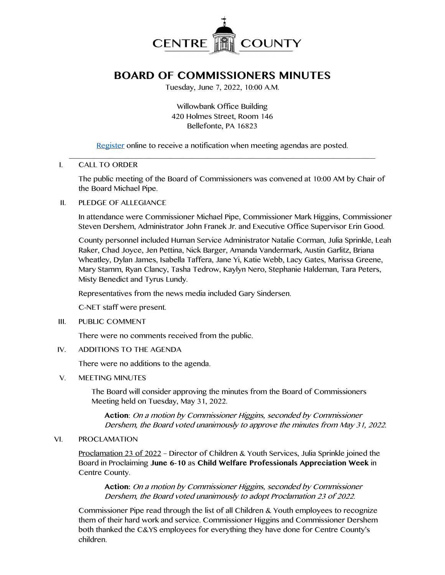

# **BOARD OF COMMISSIONERS MINUTES**

Tuesday, June 7, 2022, 10:00 A.M.

Willowbank Office Building 420 Holmes Street, Room 146 Bellefonte, PA 16823

[Register](http://www.centrecountypa.gov/AgendaCenter) online to receive a notification when meeting agendas are posted.

#### $\mathcal{L} = \{ \mathcal{L} = \{ \mathcal{L} \mid \mathcal{L} = \{ \mathcal{L} \mid \mathcal{L} = \{ \mathcal{L} \mid \mathcal{L} = \{ \mathcal{L} \mid \mathcal{L} = \{ \mathcal{L} \mid \mathcal{L} = \{ \mathcal{L} \mid \mathcal{L} = \{ \mathcal{L} \mid \mathcal{L} = \{ \mathcal{L} \mid \mathcal{L} = \{ \mathcal{L} \mid \mathcal{L} = \{ \mathcal{L} \mid \mathcal{L} = \{ \mathcal{L} \mid \mathcal{L} = \{ \mathcal{L} \mid \mathcal{L} =$ I. CALL TO ORDER

The public meeting of the Board of Commissioners was convened at 10:00 AM by Chair of the Board Michael Pipe.

#### II. PLEDGE OF ALLEGIANCE

In attendance were Commissioner Michael Pipe, Commissioner Mark Higgins, Commissioner Steven Dershem, Administrator John Franek Jr. and Executive Office Supervisor Erin Good.

County personnel included Human Service Administrator Natalie Corman, Julia Sprinkle, Leah Raker, Chad Joyce, Jen Pettina, Nick Barger, Amanda Vandermark, Austin Garlitz, Briana Wheatley, Dylan James, Isabella Taffera, Jane Yi, Katie Webb, Lacy Gates, Marissa Greene, Mary Stamm, Ryan Clancy, Tasha Tedrow, Kaylyn Nero, Stephanie Haldeman, Tara Peters, Misty Benedict and Tyrus Lundy.

Representatives from the news media included Gary Sindersen.

C-NET staff were present.

III. PUBLIC COMMENT

There were no comments received from the public.

IV. ADDITIONS TO THE AGENDA

There were no additions to the agenda.

V. MEETING MINUTES

The Board will consider approving the minutes from the Board of Commissioners Meeting held on Tuesday, May 31, 2022.

**Action**: On a motion by Commissioner Higgins, seconded by Commissioner Dershem, the Board voted unanimously to approve the minutes from May 31, 2022.

#### VI. PROCLAMATION

Proclamation 23 of 2022 – Director of Children & Youth Services, Julia Sprinkle joined the Board in Proclaiming **June 6-10** as **Child Welfare Professionals Appreciation Week** in Centre County.

**Action:** On a motion by Commissioner Higgins, seconded by Commissioner Dershem, the Board voted unanimously to adopt Proclamation 23 of 2022.

Commissioner Pipe read through the list of all Children & Youth employees to recognize them of their hard work and service. Commissioner Higgins and Commissioner Dershem both thanked the C&YS employees for everything they have done for Centre County's children.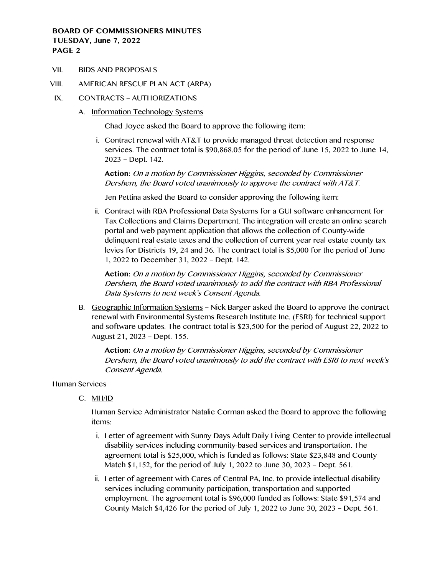VII. BIDS AND PROPOSALS

# VIII. AMERICAN RESCUE PLAN ACT (ARPA)

- IX. CONTRACTS AUTHORIZATIONS
	- A. Information Technology Systems

Chad Joyce asked the Board to approve the following item:

i. Contract renewal with AT&T to provide managed threat detection and response services. The contract total is \$90,868.05 for the period of June 15, 2022 to June 14, 2023 – Dept. 142.

**Action:** On a motion by Commissioner Higgins, seconded by Commissioner Dershem, the Board voted unanimously to approve the contract with AT&T.

Jen Pettina asked the Board to consider approving the following item:

ii. Contract with RBA Professional Data Systems for a GUI software enhancement for Tax Collections and Claims Department. The integration will create an online search portal and web payment application that allows the collection of County-wide delinquent real estate taxes and the collection of current year real estate county tax levies for Districts 19, 24 and 36. The contract total is \$5,000 for the period of June 1, 2022 to December 31, 2022 – Dept. 142.

**Action:** On a motion by Commissioner Higgins, seconded by Commissioner Dershem, the Board voted unanimously to add the contract with RBA Professional Data Systems to next week's Consent Agenda.

B. Geographic Information Systems – Nick Barger asked the Board to approve the contract renewal with Environmental Systems Research Institute Inc. (ESRI) for technical support and software updates. The contract total is \$23,500 for the period of August 22, 2022 to August 21, 2023 – Dept. 155.

**Action:** On a motion by Commissioner Higgins, seconded by Commissioner Dershem, the Board voted unanimously to add the contract with ESRI to next week's Consent Agenda.

#### Human Services

C. MH/ID

Human Service Administrator Natalie Corman asked the Board to approve the following items:

- i. Letter of agreement with Sunny Days Adult Daily Living Center to provide intellectual disability services including community-based services and transportation. The agreement total is \$25,000, which is funded as follows: State \$23,848 and County Match \$1,152, for the period of July 1, 2022 to June 30, 2023 – Dept. 561.
- ii. Letter of agreement with Cares of Central PA, Inc. to provide intellectual disability services including community participation, transportation and supported employment. The agreement total is \$96,000 funded as follows: State \$91,574 and County Match \$4,426 for the period of July 1, 2022 to June 30, 2023 – Dept. 561.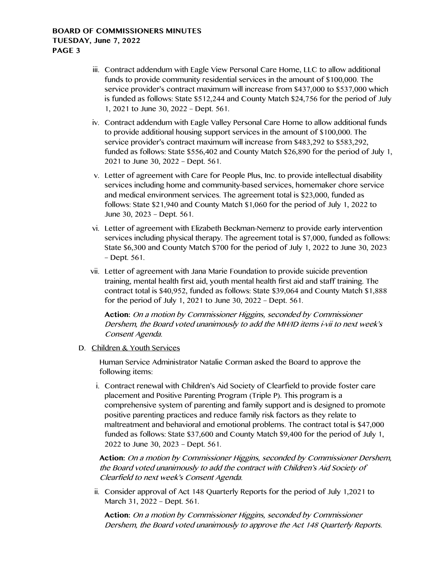- iii. Contract addendum with Eagle View Personal Care Home, LLC to allow additional funds to provide community residential services in the amount of \$100,000. The service provider's contract maximum will increase from \$437,000 to \$537,000 which is funded as follows: State \$512,244 and County Match \$24,756 for the period of July 1, 2021 to June 30, 2022 – Dept. 561.
- iv. Contract addendum with Eagle Valley Personal Care Home to allow additional funds to provide additional housing support services in the amount of \$100,000. The service provider's contract maximum will increase from \$483,292 to \$583,292, funded as follows: State \$556,402 and County Match \$26,890 for the period of July 1, 2021 to June 30, 2022 – Dept. 561.
- v. Letter of agreement with Care for People Plus, Inc. to provide intellectual disability services including home and community-based services, homemaker chore service and medical environment services. The agreement total is \$23,000, funded as follows: State \$21,940 and County Match \$1,060 for the period of July 1, 2022 to June 30, 2023 – Dept. 561.
- vi. Letter of agreement with Elizabeth Beckman-Nemenz to provide early intervention services including physical therapy. The agreement total is \$7,000, funded as follows: State \$6,300 and County Match \$700 for the period of July 1, 2022 to June 30, 2023 – Dept. 561.
- vii. Letter of agreement with Jana Marie Foundation to provide suicide prevention training, mental health first aid, youth mental health first aid and staff training. The contract total is \$40,952, funded as follows: State \$39,064 and County Match \$1,888 for the period of July 1, 2021 to June 30, 2022 – Dept. 561.

**Action:** On a motion by Commissioner Higgins, seconded by Commissioner Dershem, the Board voted unanimously to add the MH/ID items i-vii to next week's Consent Agenda.

## D. Children & Youth Services

Human Service Administrator Natalie Corman asked the Board to approve the following items:

i. Contract renewal with Children's Aid Society of Clearfield to provide foster care placement and Positive Parenting Program (Triple P). This program is a comprehensive system of parenting and family support and is designed to promote positive parenting practices and reduce family risk factors as they relate to maltreatment and behavioral and emotional problems. The contract total is \$47,000 funded as follows: State \$37,600 and County Match \$9,400 for the period of July 1, 2022 to June 30, 2023 – Dept. 561.

**Action:** On a motion by Commissioner Higgins, seconded by Commissioner Dershem, the Board voted unanimously to add the contract with Children's Aid Society of Clearfield to next week's Consent Agenda.

ii. Consider approval of Act 148 Quarterly Reports for the period of July 1,2021 to March 31, 2022 – Dept. 561.

**Action:** On a motion by Commissioner Higgins, seconded by Commissioner Dershem, the Board voted unanimously to approve the Act 148 Quarterly Reports.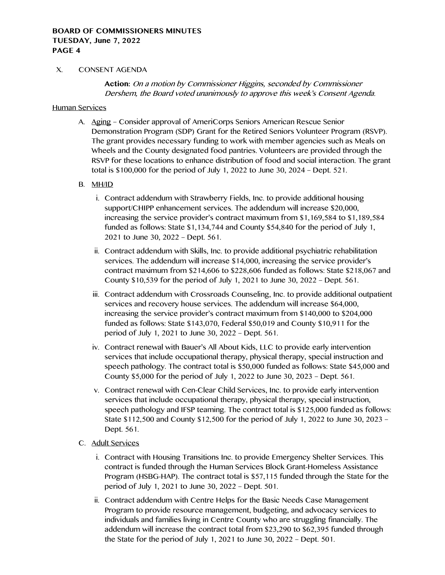#### X. CONSENT AGENDA

**Action:** On a motion by Commissioner Higgins, seconded by Commissioner Dershem, the Board voted unanimously to approve this week's Consent Agenda.

#### Human Services

A. Aging – Consider approval of AmeriCorps Seniors American Rescue Senior Demonstration Program (SDP) Grant for the Retired Seniors Volunteer Program (RSVP). The grant provides necessary funding to work with member agencies such as Meals on Wheels and the County designated food pantries. Volunteers are provided through the RSVP for these locations to enhance distribution of food and social interaction. The grant total is \$100,000 for the period of July 1, 2022 to June 30, 2024 – Dept. 521.

# B. MH/ID

- i. Contract addendum with Strawberry Fields, Inc. to provide additional housing support/CHIPP enhancement services. The addendum will increase \$20,000, increasing the service provider's contract maximum from \$1,169,584 to \$1,189,584 funded as follows: State \$1,134,744 and County \$54,840 for the period of July 1, 2021 to June 30, 2022 – Dept. 561.
- ii. Contract addendum with Skills, Inc. to provide additional psychiatric rehabilitation services. The addendum will increase \$14,000, increasing the service provider's contract maximum from \$214,606 to \$228,606 funded as follows: State \$218,067 and County \$10,539 for the period of July 1, 2021 to June 30, 2022 – Dept. 561.
- iii. Contract addendum with Crossroads Counseling, Inc. to provide additional outpatient services and recovery house services. The addendum will increase \$64,000, increasing the service provider's contract maximum from \$140,000 to \$204,000 funded as follows: State \$143,070, Federal \$50,019 and County \$10,911 for the period of July 1, 2021 to June 30, 2022 – Dept. 561.
- iv. Contract renewal with Bauer's All About Kids, LLC to provide early intervention services that include occupational therapy, physical therapy, special instruction and speech pathology. The contract total is \$50,000 funded as follows: State \$45,000 and County \$5,000 for the period of July 1, 2022 to June 30, 2023 – Dept. 561.
- v. Contract renewal with Cen-Clear Child Services, Inc. to provide early intervention services that include occupational therapy, physical therapy, special instruction, speech pathology and IFSP teaming. The contract total is \$125,000 funded as follows: State \$112,500 and County \$12,500 for the period of July 1, 2022 to June 30, 2023 – Dept. 561.
- C. Adult Services
	- i. Contract with Housing Transitions Inc. to provide Emergency Shelter Services. This contract is funded through the Human Services Block Grant-Homeless Assistance Program (HSBG-HAP). The contract total is \$57,115 funded through the State for the period of July 1, 2021 to June 30, 2022 – Dept. 501.
	- ii. Contract addendum with Centre Helps for the Basic Needs Case Management Program to provide resource management, budgeting, and advocacy services to individuals and families living in Centre County who are struggling financially. The addendum will increase the contract total from \$23,290 to \$62,395 funded through the State for the period of July 1, 2021 to June 30, 2022 – Dept. 501.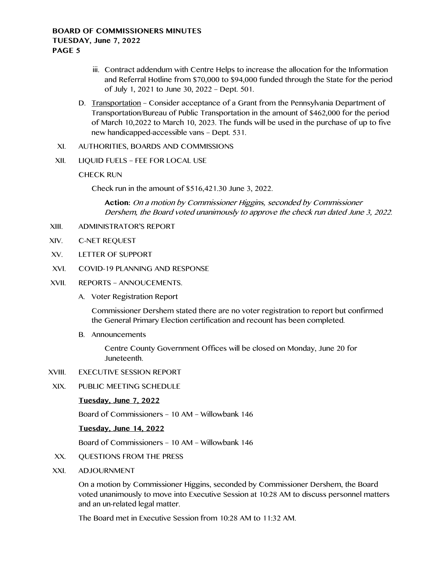- iii. Contract addendum with Centre Helps to increase the allocation for the Information and Referral Hotline from \$70,000 to \$94,000 funded through the State for the period of July 1, 2021 to June 30, 2022 – Dept. 501.
- D. Transportation Consider acceptance of a Grant from the Pennsylvania Department of Transportation/Bureau of Public Transportation in the amount of \$462,000 for the period of March 10,2022 to March 10, 2023. The funds will be used in the purchase of up to five new handicapped-accessible vans – Dept. 531.
- XI. AUTHORITIES, BOARDS AND COMMISSIONS
- XII. LIQUID FUELS FEE FOR LOCAL USE
	- CHECK RUN

Check run in the amount of \$516,421.30 June 3, 2022.

**Action:** On a motion by Commissioner Higgins, seconded by Commissioner Dershem, the Board voted unanimously to approve the check run dated June 3, 2022.

- XIII. ADMINISTRATOR'S REPORT
- XIV. C-NET REQUEST
- XV. LETTER OF SUPPORT
- XVI. COVID-19 PLANNING AND RESPONSE
- XVII. REPORTS ANNOUCEMENTS.
	- A. Voter Registration Report

Commissioner Dershem stated there are no voter registration to report but confirmed the General Primary Election certification and recount has been completed.

B. Announcements

Centre County Government Offices will be closed on Monday, June 20 for Juneteenth.

- XVIII. EXECUTIVE SESSION REPORT
- XIX. PUBLIC MEETING SCHEDULE

# **Tuesday, June 7, 2022**

Board of Commissioners – 10 AM – Willowbank 146

#### **Tuesday, June 14, 2022**

Board of Commissioners – 10 AM – Willowbank 146

- XX. QUESTIONS FROM THE PRESS
- XXI. ADJOURNMENT

On a motion by Commissioner Higgins, seconded by Commissioner Dershem, the Board voted unanimously to move into Executive Session at 10:28 AM to discuss personnel matters and an un-related legal matter.

The Board met in Executive Session from 10:28 AM to 11:32 AM.